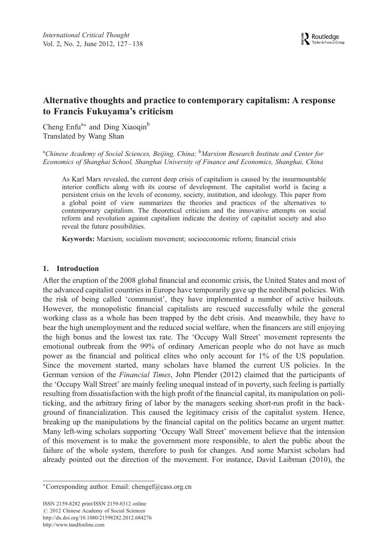# Alternative thoughts and practice to contemporary capitalism: A response to Francis Fukuyama's criticism

Cheng Enfu<sup>a∗</sup> and Ding Xiaoqin<sup>b</sup> Translated by Wang Shan

<sup>a</sup>Chinese Academy of Social Sciences, Beijing, China; <sup>b</sup>Marxism Research Institute and Center for Economics of Shanghai School, Shanghai University of Finance and Economics, Shanghai, China

As Karl Marx revealed, the current deep crisis of capitalism is caused by the insurmountable interior conflicts along with its course of development. The capitalist world is facing a persistent crisis on the levels of economy, society, institution, and ideology. This paper from a global point of view summarizes the theories and practices of the alternatives to contemporary capitalism. The theoretical criticism and the innovative attempts on social reform and revolution against capitalism indicate the destiny of capitalist society and also reveal the future possibilities.

Keywords: Marxism; socialism movement; socioeconomic reform; financial crisis

### 1. Introduction

After the eruption of the 2008 global financial and economic crisis, the United States and most of the advanced capitalist countries in Europe have temporarily gave up the neoliberal policies. With the risk of being called 'communist', they have implemented a number of active bailouts. However, the monopolistic financial capitalists are rescued successfully while the general working class as a whole has been trapped by the debt crisis. And meanwhile, they have to bear the high unemployment and the reduced social welfare, when the financers are still enjoying the high bonus and the lowest tax rate. The 'Occupy Wall Street' movement represents the emotional outbreak from the 99% of ordinary American people who do not have as much power as the financial and political elites who only account for 1% of the US population. Since the movement started, many scholars have blamed the current US policies. In the German version of the Financial Times, John Plender (2012) claimed that the participants of the 'Occupy Wall Street' are mainly feeling unequal instead of in poverty, such feeling is partially resulting from dissatisfaction with the high profit of the financial capital, its manipulation on politicking, and the arbitrary firing of labor by the managers seeking short-run profit in the background of financialization. This caused the legitimacy crisis of the capitalist system. Hence, breaking up the manipulations by the financial capital on the politics became an urgent matter. Many left-wing scholars supporting 'Occupy Wall Street' movement believe that the intension of this movement is to make the government more responsible, to alert the public about the failure of the whole system, therefore to push for changes. And some Marxist scholars had already pointed out the direction of the movement. For instance, David Laibman (2010), the

ISSN 2159-8282 print/ISSN 2159-8312 online  $\odot$  2012 Chinese Academy of Social Sciences http://dx.doi.org/10.1080/21598282.2012.684276 http://www.tandfonline.com

<sup>∗</sup>Corresponding author. Email: chengef@cass.org.cn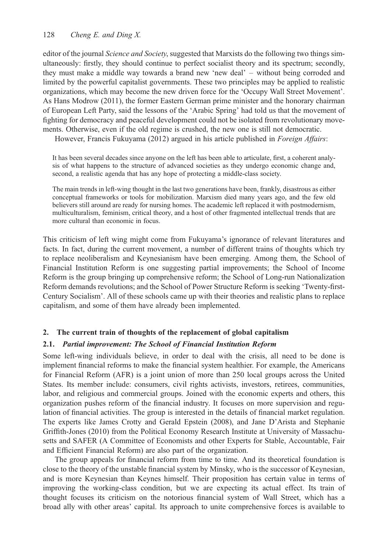editor of the journal *Science and Society*, suggested that Marxists do the following two things simultaneously: firstly, they should continue to perfect socialist theory and its spectrum; secondly, they must make a middle way towards a brand new 'new deal' – without being corroded and limited by the powerful capitalist governments. These two principles may be applied to realistic organizations, which may become the new driven force for the 'Occupy Wall Street Movement'. As Hans Modrow (2011), the former Eastern German prime minister and the honorary chairman of European Left Party, said the lessons of the 'Arabic Spring' had told us that the movement of fighting for democracy and peaceful development could not be isolated from revolutionary movements. Otherwise, even if the old regime is crushed, the new one is still not democratic.

However, Francis Fukuyama (2012) argued in his article published in Foreign Affairs:

It has been several decades since anyone on the left has been able to articulate, first, a coherent analysis of what happens to the structure of advanced societies as they undergo economic change and, second, a realistic agenda that has any hope of protecting a middle-class society.

The main trends in left-wing thought in the last two generations have been, frankly, disastrous as either conceptual frameworks or tools for mobilization. Marxism died many years ago, and the few old believers still around are ready for nursing homes. The academic left replaced it with postmodernism, multiculturalism, feminism, critical theory, and a host of other fragmented intellectual trends that are more cultural than economic in focus.

This criticism of left wing might come from Fukuyama's ignorance of relevant literatures and facts. In fact, during the current movement, a number of different trains of thoughts which try to replace neoliberalism and Keynesianism have been emerging. Among them, the School of Financial Institution Reform is one suggesting partial improvements; the School of Income Reform is the group bringing up comprehensive reform; the School of Long-run Nationalization Reform demands revolutions; and the School of Power Structure Reform is seeking 'Twenty-first-Century Socialism'. All of these schools came up with their theories and realistic plans to replace capitalism, and some of them have already been implemented.

### 2. The current train of thoughts of the replacement of global capitalism

#### 2.1. Partial improvement: The School of Financial Institution Reform

Some left-wing individuals believe, in order to deal with the crisis, all need to be done is implement financial reforms to make the financial system healthier. For example, the Americans for Financial Reform (AFR) is a joint union of more than 250 local groups across the United States. Its member include: consumers, civil rights activists, investors, retirees, communities, labor, and religious and commercial groups. Joined with the economic experts and others, this organization pushes reform of the financial industry. It focuses on more supervision and regulation of financial activities. The group is interested in the details of financial market regulation. The experts like James Crotty and Gerald Epstein (2008), and Jane D'Arista and Stephanie Griffith-Jones (2010) from the Political Economy Research Institute at University of Massachusetts and SAFER (A Committee of Economists and other Experts for Stable, Accountable, Fair and Efficient Financial Reform) are also part of the organization.

The group appeals for financial reform from time to time. And its theoretical foundation is close to the theory of the unstable financial system by Minsky, who is the successor of Keynesian, and is more Keynesian than Keynes himself. Their proposition has certain value in terms of improving the working-class condition, but we are expecting its actual effect. Its train of thought focuses its criticism on the notorious financial system of Wall Street, which has a broad ally with other areas' capital. Its approach to unite comprehensive forces is available to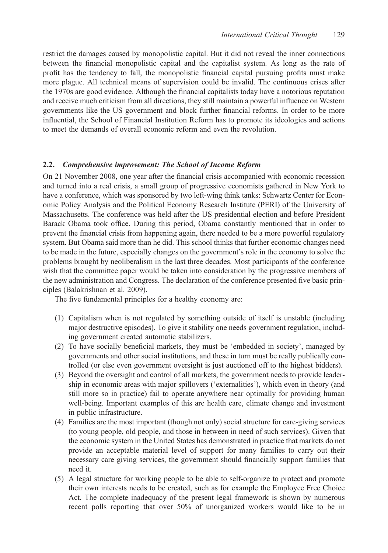restrict the damages caused by monopolistic capital. But it did not reveal the inner connections between the financial monopolistic capital and the capitalist system. As long as the rate of profit has the tendency to fall, the monopolistic financial capital pursuing profits must make more plague. All technical means of supervision could be invalid. The continuous crises after the 1970s are good evidence. Although the financial capitalists today have a notorious reputation and receive much criticism from all directions, they still maintain a powerful influence on Western governments like the US government and block further financial reforms. In order to be more influential, the School of Financial Institution Reform has to promote its ideologies and actions to meet the demands of overall economic reform and even the revolution.

### 2.2. Comprehensive improvement: The School of Income Reform

On 21 November 2008, one year after the financial crisis accompanied with economic recession and turned into a real crisis, a small group of progressive economists gathered in New York to have a conference, which was sponsored by two left-wing think tanks: Schwartz Center for Economic Policy Analysis and the Political Economy Research Institute (PERI) of the University of Massachusetts. The conference was held after the US presidential election and before President Barack Obama took office. During this period, Obama constantly mentioned that in order to prevent the financial crisis from happening again, there needed to be a more powerful regulatory system. But Obama said more than he did. This school thinks that further economic changes need to be made in the future, especially changes on the government's role in the economy to solve the problems brought by neoliberalism in the last three decades. Most participants of the conference wish that the committee paper would be taken into consideration by the progressive members of the new administration and Congress. The declaration of the conference presented five basic principles (Balakrishnan et al. 2009).

The five fundamental principles for a healthy economy are:

- (1) Capitalism when is not regulated by something outside of itself is unstable (including major destructive episodes). To give it stability one needs government regulation, including government created automatic stabilizers.
- (2) To have socially beneficial markets, they must be 'embedded in society', managed by governments and other social institutions, and these in turn must be really publically controlled (or else even government oversight is just auctioned off to the highest bidders).
- (3) Beyond the oversight and control of all markets, the government needs to provide leadership in economic areas with major spillovers ('externalities'), which even in theory (and still more so in practice) fail to operate anywhere near optimally for providing human well-being. Important examples of this are health care, climate change and investment in public infrastructure.
- (4) Families are the most important (though not only) social structure for care-giving services (to young people, old people, and those in between in need of such services). Given that the economic system in the United States has demonstrated in practice that markets do not provide an acceptable material level of support for many families to carry out their necessary care giving services, the government should financially support families that need it.
- (5) A legal structure for working people to be able to self-organize to protect and promote their own interests needs to be created, such as for example the Employee Free Choice Act. The complete inadequacy of the present legal framework is shown by numerous recent polls reporting that over 50% of unorganized workers would like to be in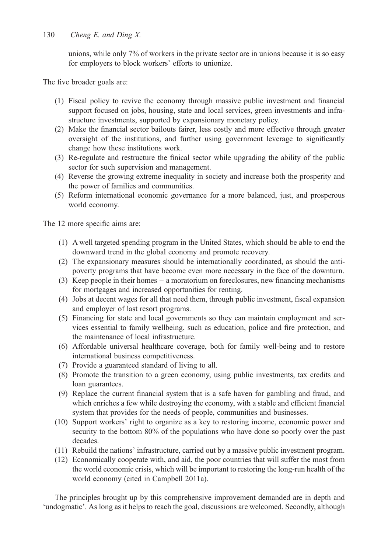130 Cheng E. and Ding X.

unions, while only 7% of workers in the private sector are in unions because it is so easy for employers to block workers' efforts to unionize.

The five broader goals are:

- (1) Fiscal policy to revive the economy through massive public investment and financial support focused on jobs, housing, state and local services, green investments and infrastructure investments, supported by expansionary monetary policy.
- (2) Make the financial sector bailouts fairer, less costly and more effective through greater oversight of the institutions, and further using government leverage to significantly change how these institutions work.
- (3) Re-regulate and restructure the finical sector while upgrading the ability of the public sector for such supervision and management.
- (4) Reverse the growing extreme inequality in society and increase both the prosperity and the power of families and communities.
- (5) Reform international economic governance for a more balanced, just, and prosperous world economy.

The 12 more specific aims are:

- (1) A well targeted spending program in the United States, which should be able to end the downward trend in the global economy and promote recovery.
- (2) The expansionary measures should be internationally coordinated, as should the antipoverty programs that have become even more necessary in the face of the downturn.
- (3) Keep people in their homes a moratorium on foreclosures, new financing mechanisms for mortgages and increased opportunities for renting.
- (4) Jobs at decent wages for all that need them, through public investment, fiscal expansion and employer of last resort programs.
- (5) Financing for state and local governments so they can maintain employment and services essential to family wellbeing, such as education, police and fire protection, and the maintenance of local infrastructure.
- (6) Affordable universal healthcare coverage, both for family well-being and to restore international business competitiveness.
- (7) Provide a guaranteed standard of living to all.
- (8) Promote the transition to a green economy, using public investments, tax credits and loan guarantees.
- (9) Replace the current financial system that is a safe haven for gambling and fraud, and which enriches a few while destroying the economy, with a stable and efficient financial system that provides for the needs of people, communities and businesses.
- (10) Support workers' right to organize as a key to restoring income, economic power and security to the bottom 80% of the populations who have done so poorly over the past decades.
- (11) Rebuild the nations' infrastructure, carried out by a massive public investment program.
- (12) Economically cooperate with, and aid, the poor countries that will suffer the most from the world economic crisis, which will be important to restoring the long-run health of the world economy (cited in Campbell 2011a).

The principles brought up by this comprehensive improvement demanded are in depth and 'undogmatic'. As long as it helps to reach the goal, discussions are welcomed. Secondly, although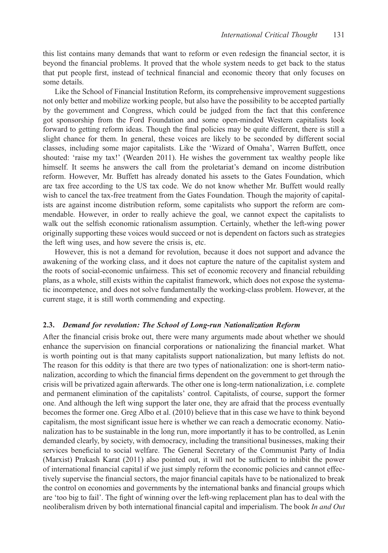this list contains many demands that want to reform or even redesign the financial sector, it is beyond the financial problems. It proved that the whole system needs to get back to the status that put people first, instead of technical financial and economic theory that only focuses on some details.

Like the School of Financial Institution Reform, its comprehensive improvement suggestions not only better and mobilize working people, but also have the possibility to be accepted partially by the government and Congress, which could be judged from the fact that this conference got sponsorship from the Ford Foundation and some open-minded Western capitalists look forward to getting reform ideas. Though the final policies may be quite different, there is still a slight chance for them. In general, these voices are likely to be seconded by different social classes, including some major capitalists. Like the 'Wizard of Omaha', Warren Buffett, once shouted: 'raise my tax!' (Wearden 2011). He wishes the government tax wealthy people like himself. It seems he answers the call from the proletariat's demand on income distribution reform. However, Mr. Buffett has already donated his assets to the Gates Foundation, which are tax free according to the US tax code. We do not know whether Mr. Buffett would really wish to cancel the tax-free treatment from the Gates Foundation. Though the majority of capitalists are against income distribution reform, some capitalists who support the reform are commendable. However, in order to really achieve the goal, we cannot expect the capitalists to walk out the selfish economic rationalism assumption. Certainly, whether the left-wing power originally supporting these voices would succeed or not is dependent on factors such as strategies the left wing uses, and how severe the crisis is, etc.

However, this is not a demand for revolution, because it does not support and advance the awakening of the working class, and it does not capture the nature of the capitalist system and the roots of social-economic unfairness. This set of economic recovery and financial rebuilding plans, as a whole, still exists within the capitalist framework, which does not expose the systematic incompetence, and does not solve fundamentally the working-class problem. However, at the current stage, it is still worth commending and expecting.

#### 2.3. Demand for revolution: The School of Long-run Nationalization Reform

After the financial crisis broke out, there were many arguments made about whether we should enhance the supervision on financial corporations or nationalizing the financial market. What is worth pointing out is that many capitalists support nationalization, but many leftists do not. The reason for this oddity is that there are two types of nationalization: one is short-term nationalization, according to which the financial firms dependent on the government to get through the crisis will be privatized again afterwards. The other one is long-term nationalization, i.e. complete and permanent elimination of the capitalists' control. Capitalists, of course, support the former one. And although the left wing support the later one, they are afraid that the process eventually becomes the former one. Greg Albo et al. (2010) believe that in this case we have to think beyond capitalism, the most significant issue here is whether we can reach a democratic economy. Nationalization has to be sustainable in the long run, more importantly it has to be controlled, as Lenin demanded clearly, by society, with democracy, including the transitional businesses, making their services beneficial to social welfare. The General Secretary of the Communist Party of India (Marxist) Prakash Karat (2011) also pointed out, it will not be sufficient to inhibit the power of international financial capital if we just simply reform the economic policies and cannot effectively supervise the financial sectors, the major financial capitals have to be nationalized to break the control on economies and governments by the international banks and financial groups which are 'too big to fail'. The fight of winning over the left-wing replacement plan has to deal with the neoliberalism driven by both international financial capital and imperialism. The book In and Out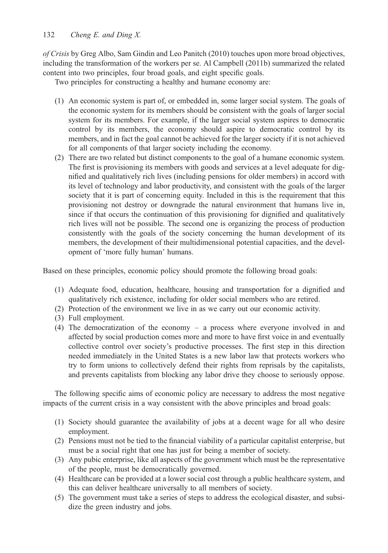of Crisis by Greg Albo, Sam Gindin and Leo Panitch (2010) touches upon more broad objectives, including the transformation of the workers per se. Al Campbell (2011b) summarized the related content into two principles, four broad goals, and eight specific goals.

Two principles for constructing a healthy and humane economy are:

- (1) An economic system is part of, or embedded in, some larger social system. The goals of the economic system for its members should be consistent with the goals of larger social system for its members. For example, if the larger social system aspires to democratic control by its members, the economy should aspire to democratic control by its members, and in fact the goal cannot be achieved for the larger society if it is not achieved for all components of that larger society including the economy.
- (2) There are two related but distinct components to the goal of a humane economic system. The first is provisioning its members with goods and services at a level adequate for dignified and qualitatively rich lives (including pensions for older members) in accord with its level of technology and labor productivity, and consistent with the goals of the larger society that it is part of concerning equity. Included in this is the requirement that this provisioning not destroy or downgrade the natural environment that humans live in, since if that occurs the continuation of this provisioning for dignified and qualitatively rich lives will not be possible. The second one is organizing the process of production consistently with the goals of the society concerning the human development of its members, the development of their multidimensional potential capacities, and the development of 'more fully human' humans.

Based on these principles, economic policy should promote the following broad goals:

- (1) Adequate food, education, healthcare, housing and transportation for a dignified and qualitatively rich existence, including for older social members who are retired.
- (2) Protection of the environment we live in as we carry out our economic activity.
- (3) Full employment.
- (4) The democratization of the economy a process where everyone involved in and affected by social production comes more and more to have first voice in and eventually collective control over society's productive processes. The first step in this direction needed immediately in the United States is a new labor law that protects workers who try to form unions to collectively defend their rights from reprisals by the capitalists, and prevents capitalists from blocking any labor drive they choose to seriously oppose.

The following specific aims of economic policy are necessary to address the most negative impacts of the current crisis in a way consistent with the above principles and broad goals:

- (1) Society should guarantee the availability of jobs at a decent wage for all who desire employment.
- (2) Pensions must not be tied to the financial viability of a particular capitalist enterprise, but must be a social right that one has just for being a member of society.
- (3) Any pubic enterprise, like all aspects of the government which must be the representative of the people, must be democratically governed.
- (4) Healthcare can be provided at a lower social cost through a public healthcare system, and this can deliver healthcare universally to all members of society.
- (5) The government must take a series of steps to address the ecological disaster, and subsidize the green industry and jobs.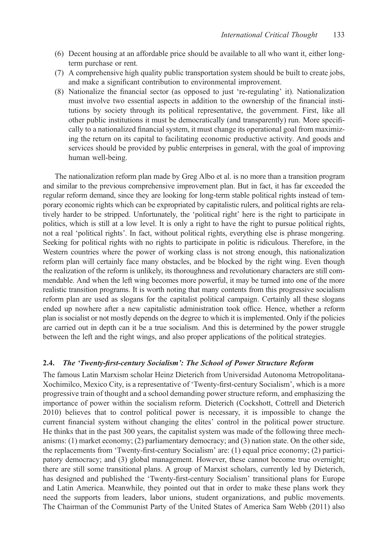- (6) Decent housing at an affordable price should be available to all who want it, either longterm purchase or rent.
- (7) A comprehensive high quality public transportation system should be built to create jobs, and make a significant contribution to environmental improvement.
- (8) Nationalize the financial sector (as opposed to just 're-regulating' it). Nationalization must involve two essential aspects in addition to the ownership of the financial institutions by society through its political representative, the government. First, like all other public institutions it must be democratically (and transparently) run. More specifically to a nationalized financial system, it must change its operational goal from maximizing the return on its capital to facilitating economic productive activity. And goods and services should be provided by public enterprises in general, with the goal of improving human well-being.

The nationalization reform plan made by Greg Albo et al. is no more than a transition program and similar to the previous comprehensive improvement plan. But in fact, it has far exceeded the regular reform demand, since they are looking for long-term stable political rights instead of temporary economic rights which can be expropriated by capitalistic rulers, and political rights are relatively harder to be stripped. Unfortunately, the 'political right' here is the right to participate in politics, which is still at a low level. It is only a right to have the right to pursue political rights, not a real 'political rights'. In fact, without political rights, everything else is phrase mongering. Seeking for political rights with no rights to participate in politic is ridiculous. Therefore, in the Western countries where the power of working class is not strong enough, this nationalization reform plan will certainly face many obstacles, and be blocked by the right wing. Even though the realization of the reform is unlikely, its thoroughness and revolutionary characters are still commendable. And when the left wing becomes more powerful, it may be turned into one of the more realistic transition programs. It is worth noting that many contents from this progressive socialism reform plan are used as slogans for the capitalist political campaign. Certainly all these slogans ended up nowhere after a new capitalistic administration took office. Hence, whether a reform plan is socialist or not mostly depends on the degree to which it is implemented. Only if the policies are carried out in depth can it be a true socialism. And this is determined by the power struggle between the left and the right wings, and also proper applications of the political strategies.

### 2.4. The 'Twenty-first-century Socialism': The School of Power Structure Reform

The famous Latin Marxism scholar Heinz Dieterich from Universidad Autonoma Metropolitana-Xochimilco, Mexico City, is a representative of 'Twenty-first-century Socialism', which is a more progressive train of thought and a school demanding power structure reform, and emphasizing the importance of power within the socialism reform. Dieterich (Cockshott, Cottrell and Dieterich 2010) believes that to control political power is necessary, it is impossible to change the current financial system without changing the elites' control in the political power structure. He thinks that in the past 300 years, the capitalist system was made of the following three mechanisms: (1) market economy; (2) parliamentary democracy; and (3) nation state. On the other side, the replacements from 'Twenty-first-century Socialism' are: (1) equal price economy; (2) participatory democracy; and (3) global management. However, these cannot become true overnight; there are still some transitional plans. A group of Marxist scholars, currently led by Dieterich, has designed and published the 'Twenty-first-century Socialism' transitional plans for Europe and Latin America. Meanwhile, they pointed out that in order to make these plans work they need the supports from leaders, labor unions, student organizations, and public movements. The Chairman of the Communist Party of the United States of America Sam Webb (2011) also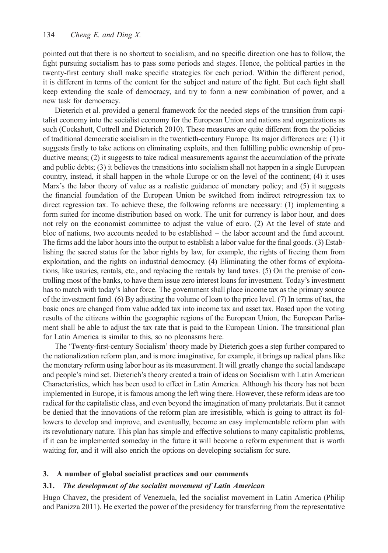pointed out that there is no shortcut to socialism, and no specific direction one has to follow, the fight pursuing socialism has to pass some periods and stages. Hence, the political parties in the twenty-first century shall make specific strategies for each period. Within the different period, it is different in terms of the content for the subject and nature of the fight. But each fight shall keep extending the scale of democracy, and try to form a new combination of power, and a new task for democracy.

Dieterich et al. provided a general framework for the needed steps of the transition from capitalist economy into the socialist economy for the European Union and nations and organizations as such (Cockshott, Cottrell and Dieterich 2010). These measures are quite different from the policies of traditional democratic socialism in the twentieth-century Europe. Its major differences are: (1) it suggests firstly to take actions on eliminating exploits, and then fulfilling public ownership of productive means; (2) it suggests to take radical measurements against the accumulation of the private and public debts; (3) it believes the transitions into socialism shall not happen in a single European country, instead, it shall happen in the whole Europe or on the level of the continent; (4) it uses Marx's the labor theory of value as a realistic guidance of monetary policy; and (5) it suggests the financial foundation of the European Union be switched from indirect retrogression tax to direct regression tax. To achieve these, the following reforms are necessary: (1) implementing a form suited for income distribution based on work. The unit for currency is labor hour, and does not rely on the economist committee to adjust the value of euro. (2) At the level of state and bloc of nations, two accounts needed to be established – the labor account and the fund account. The firms add the labor hours into the output to establish a labor value for the final goods. (3) Establishing the sacred status for the labor rights by law, for example, the rights of freeing them from exploitation, and the rights on industrial democracy. (4) Eliminating the other forms of exploitations, like usuries, rentals, etc., and replacing the rentals by land taxes. (5) On the premise of controlling most of the banks, to have them issue zero interest loans for investment. Today's investment has to match with today's labor force. The government shall place income tax as the primary source of the investment fund. (6) By adjusting the volume of loan to the price level. (7) In terms of tax, the basic ones are changed from value added tax into income tax and asset tax. Based upon the voting results of the citizens within the geographic regions of the European Union, the European Parliament shall be able to adjust the tax rate that is paid to the European Union. The transitional plan for Latin America is similar to this, so no pleonasms here.

The 'Twenty-first-century Socialism' theory made by Dieterich goes a step further compared to the nationalization reform plan, and is more imaginative, for example, it brings up radical plans like the monetary reform using labor hour as its measurement. It will greatly change the social landscape and people's mind set. Dieterich's theory created a train of ideas on Socialism with Latin American Characteristics, which has been used to effect in Latin America. Although his theory has not been implemented in Europe, it is famous among the left wing there. However, these reform ideas are too radical for the capitalistic class, and even beyond the imagination of many proletariats. But it cannot be denied that the innovations of the reform plan are irresistible, which is going to attract its followers to develop and improve, and eventually, become an easy implementable reform plan with its revolutionary nature. This plan has simple and effective solutions to many capitalistic problems, if it can be implemented someday in the future it will become a reform experiment that is worth waiting for, and it will also enrich the options on developing socialism for sure.

### 3. A number of global socialist practices and our comments

## 3.1. The development of the socialist movement of Latin American

Hugo Chavez, the president of Venezuela, led the socialist movement in Latin America (Philip and Panizza 2011). He exerted the power of the presidency for transferring from the representative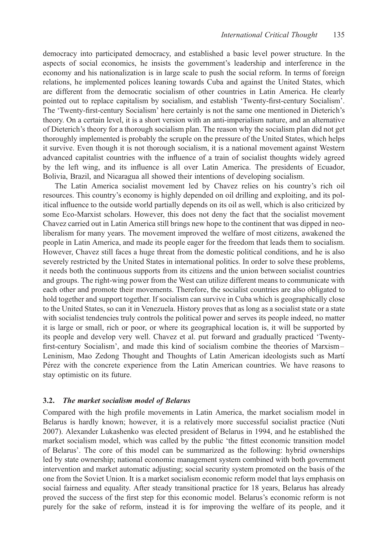democracy into participated democracy, and established a basic level power structure. In the aspects of social economics, he insists the government's leadership and interference in the economy and his nationalization is in large scale to push the social reform. In terms of foreign relations, he implemented polices leaning towards Cuba and against the United States, which are different from the democratic socialism of other countries in Latin America. He clearly pointed out to replace capitalism by socialism, and establish 'Twenty-first-century Socialism'. The 'Twenty-first-century Socialism' here certainly is not the same one mentioned in Dieterich's theory. On a certain level, it is a short version with an anti-imperialism nature, and an alternative of Dieterich's theory for a thorough socialism plan. The reason why the socialism plan did not get thoroughly implemented is probably the scruple on the pressure of the United States, which helps it survive. Even though it is not thorough socialism, it is a national movement against Western advanced capitalist countries with the influence of a train of socialist thoughts widely agreed by the left wing, and its influence is all over Latin America. The presidents of Ecuador, Bolivia, Brazil, and Nicaragua all showed their intentions of developing socialism.

The Latin America socialist movement led by Chavez relies on his country's rich oil resources. This country's economy is highly depended on oil drilling and exploiting, and its political influence to the outside world partially depends on its oil as well, which is also criticized by some Eco-Marxist scholars. However, this does not deny the fact that the socialist movement Chavez carried out in Latin America still brings new hope to the continent that was dipped in neoliberalism for many years. The movement improved the welfare of most citizens, awakened the people in Latin America, and made its people eager for the freedom that leads them to socialism. However, Chavez still faces a huge threat from the domestic political conditions, and he is also severely restricted by the United States in international politics. In order to solve these problems, it needs both the continuous supports from its citizens and the union between socialist countries and groups. The right-wing power from the West can utilize different means to communicate with each other and promote their movements. Therefore, the socialist countries are also obligated to hold together and support together. If socialism can survive in Cuba which is geographically close to the United States, so can it in Venezuela. History proves that as long as a socialist state or a state with socialist tendencies truly controls the political power and serves its people indeed, no matter it is large or small, rich or poor, or where its geographical location is, it will be supported by its people and develop very well. Chavez et al. put forward and gradually practiced 'Twentyfirst-century Socialism', and made this kind of socialism combine the theories of Marxism – Leninism, Mao Zedong Thought and Thoughts of Latin American ideologists such as Martí Pérez with the concrete experience from the Latin American countries. We have reasons to stay optimistic on its future.

#### 3.2. The market socialism model of Belarus

Compared with the high profile movements in Latin America, the market socialism model in Belarus is hardly known; however, it is a relatively more successful socialist practice (Nuti 2007). Alexander Lukashenko was elected president of Belarus in 1994, and he established the market socialism model, which was called by the public 'the fittest economic transition model of Belarus'. The core of this model can be summarized as the following: hybrid ownerships led by state ownership; national economic management system combined with both government intervention and market automatic adjusting; social security system promoted on the basis of the one from the Soviet Union. It is a market socialism economic reform model that lays emphasis on social fairness and equality. After steady transitional practice for 18 years, Belarus has already proved the success of the first step for this economic model. Belarus's economic reform is not purely for the sake of reform, instead it is for improving the welfare of its people, and it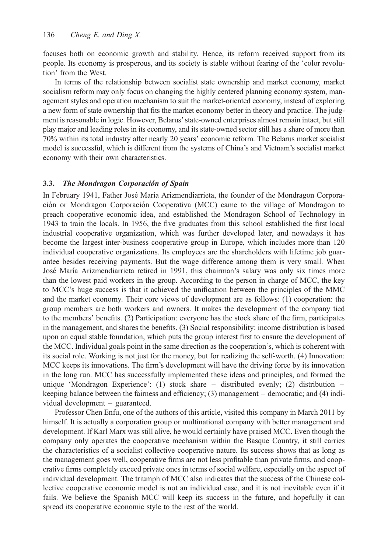focuses both on economic growth and stability. Hence, its reform received support from its people. Its economy is prosperous, and its society is stable without fearing of the 'color revolution' from the West.

In terms of the relationship between socialist state ownership and market economy, market socialism reform may only focus on changing the highly centered planning economy system, management styles and operation mechanism to suit the market-oriented economy, instead of exploring a new form of state ownership that fits the market economy better in theory and practice. The judgment is reasonable in logic. However, Belarus' state-owned enterprises almost remain intact, but still play major and leading roles in its economy, and its state-owned sector still has a share of more than 70% within its total industry after nearly 20 years' economic reform. The Belarus market socialist model is successful, which is different from the systems of China's and Vietnam's socialist market economy with their own characteristics.

### 3.3. The Mondragon Corporación of Spain

In February 1941, Father José María Arizmendiarrieta, the founder of the Mondragon Corporación or Mondragon Corporación Cooperativa (MCC) came to the village of Mondragon to preach cooperative economic idea, and established the Mondragon School of Technology in 1943 to train the locals. In 1956, the five graduates from this school established the first local industrial cooperative organization, which was further developed later, and nowadays it has become the largest inter-business cooperative group in Europe, which includes more than 120 individual cooperative organizations. Its employees are the shareholders with lifetime job guarantee besides receiving payments. But the wage difference among them is very small. When José María Arizmendiarrieta retired in 1991, this chairman's salary was only six times more than the lowest paid workers in the group. According to the person in charge of MCC, the key to MCC's huge success is that it achieved the unification between the principles of the MMC and the market economy. Their core views of development are as follows: (1) cooperation: the group members are both workers and owners. It makes the development of the company tied to the members' benefits. (2) Participation: everyone has the stock share of the firm, participates in the management, and shares the benefits. (3) Social responsibility: income distribution is based upon an equal stable foundation, which puts the group interest first to ensure the development of the MCC. Individual goals point in the same direction as the cooperation's, which is coherent with its social role. Working is not just for the money, but for realizing the self-worth. (4) Innovation: MCC keeps its innovations. The firm's development will have the driving force by its innovation in the long run. MCC has successfully implemented these ideas and principles, and formed the unique 'Mondragon Experience': (1) stock share – distributed evenly; (2) distribution – keeping balance between the fairness and efficiency; (3) management – democratic; and (4) individual development – guaranteed.

Professor Chen Enfu, one of the authors of this article, visited this company in March 2011 by himself. It is actually a corporation group or multinational company with better management and development. If Karl Marx was still alive, he would certainly have praised MCC. Even though the company only operates the cooperative mechanism within the Basque Country, it still carries the characteristics of a socialist collective cooperative nature. Its success shows that as long as the management goes well, cooperative firms are not less profitable than private firms, and cooperative firms completely exceed private ones in terms of social welfare, especially on the aspect of individual development. The triumph of MCC also indicates that the success of the Chinese collective cooperative economic model is not an individual case, and it is not inevitable even if it fails. We believe the Spanish MCC will keep its success in the future, and hopefully it can spread its cooperative economic style to the rest of the world.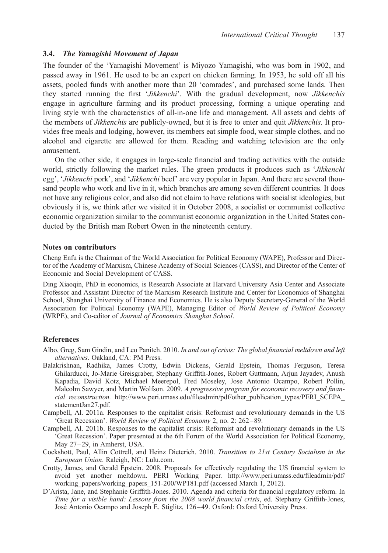### 3.4. The Yamagishi Movement of Japan

The founder of the 'Yamagishi Movement' is Miyozo Yamagishi, who was born in 1902, and passed away in 1961. He used to be an expert on chicken farming. In 1953, he sold off all his assets, pooled funds with another more than 20 'comrades', and purchased some lands. Then they started running the first 'Jikkenchi'. With the gradual development, now Jikkenchis engage in agriculture farming and its product processing, forming a unique operating and living style with the characteristics of all-in-one life and management. All assets and debts of the members of *Jikkenchis* are publicly-owned, but it is free to enter and quit *Jikkenchis*. It provides free meals and lodging, however, its members eat simple food, wear simple clothes, and no alcohol and cigarette are allowed for them. Reading and watching television are the only amusement.

On the other side, it engages in large-scale financial and trading activities with the outside world, strictly following the market rules. The green products it produces such as 'Jikkenchi egg', 'Jikkenchi pork', and 'Jikkenchi beef' are very popular in Japan. And there are several thousand people who work and live in it, which branches are among seven different countries. It does not have any religious color, and also did not claim to have relations with socialist ideologies, but obviously it is, we think after we visited it in October 2008, a socialist or communist collective economic organization similar to the communist economic organization in the United States conducted by the British man Robert Owen in the nineteenth century.

#### Notes on contributors

Cheng Enfu is the Chairman of the World Association for Political Economy (WAPE), Professor and Director of the Academy of Marxism, Chinese Academy of Social Sciences (CASS), and Director of the Center of Economic and Social Development of CASS.

Ding Xiaoqin, PhD in economics, is Research Associate at Harvard University Asia Center and Associate Professor and Assistant Director of the Marxism Research Institute and Center for Economics of Shanghai School, Shanghai University of Finance and Economics. He is also Deputy Secretary-General of the World Association for Political Economy (WAPE), Managing Editor of World Review of Political Economy (WRPE), and Co-editor of Journal of Economics Shanghai School.

#### References

- Albo, Greg, Sam Gindin, and Leo Panitch. 2010. In and out of crisis: The global financial meltdown and left alternatives. Oakland, CA: PM Press.
- Balakrishnan, Radhika, James Crotty, Edwin Dickens, Gerald Epstein, Thomas Ferguson, Teresa Ghilarducci, Jo-Marie Greisgraber, Stephany Griffith-Jones, Robert Guttmann, Arjun Jayadev, Anush Kapadia, David Kotz, Michael Meerepol, Fred Moseley, Jose Antonio Ocampo, Robert Pollin, Malcolm Sawyer, and Martin Wolfson. 2009. A progressive program for economic recovery and financial reconstruction. [http://www.peri.umass.edu/fileadmin/pdf/other\\_publication\\_types/PERI\\_SCEPA\\_](http://www.peri.umass.edu/fileadmin/pdf/other_publication_types/PERI_SCEPA_statementJan27.pdf) [statementJan27.pdf.](http://www.peri.umass.edu/fileadmin/pdf/other_publication_types/PERI_SCEPA_statementJan27.pdf)
- Campbell, Al. 2011a. Responses to the capitalist crisis: Reformist and revolutionary demands in the US 'Great Recession'. World Review of Political Economy 2, no. 2: 262–89.
- Campbell, Al. 2011b. Responses to the capitalist crisis: Reformist and revolutionary demands in the US 'Great Recession'. Paper presented at the 6th Forum of the World Association for Political Economy, May 27–29, in Amherst, USA.
- Cockshott, Paul, Allin Cottrell, and Heinz Dieterich. 2010. Transition to 21st Century Socialism in the European Union. Raleigh, NC: Lulu.com.
- Crotty, James, and Gerald Epstein. 2008. Proposals for effectively regulating the US financial system to avoid yet another meltdown. PERI Working Paper. [http://www.peri.umass.edu/fileadmin/pdf/](http://www.peri.umass.edu/fileadmin/pdf/working_papers/working_papers_151-200/WP181.pdf) [working\\_papers/working\\_papers\\_151-200/WP181.pdf](http://www.peri.umass.edu/fileadmin/pdf/working_papers/working_papers_151-200/WP181.pdf) (accessed March 1, 2012).
- D'Arista, Jane, and Stephanie Griffith-Jones. 2010. Agenda and criteria for financial regulatory reform. In Time for a visible hand: Lessons from the 2008 world financial crisis, ed. Stephany Griffith-Jones, José Antonio Ocampo and Joseph E. Stiglitz, 126-49. Oxford: Oxford University Press.